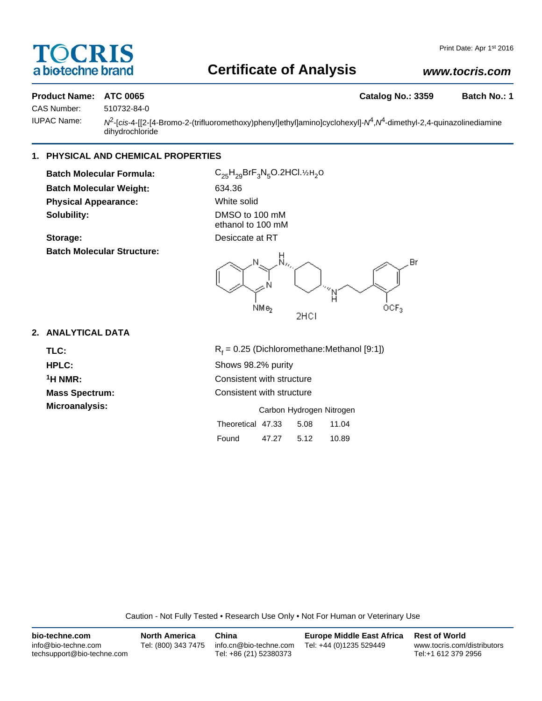# OCRIS a biotechne brand

# **Certificate of Analysis**

# *www.tocris.com*

# **Product Name: ATC 0065 Catalog No.: 3359 Batch No.: 1**

CAS Number: 510732-84-0

IUPAC Name: *N*2-[*cis*-4-[[2-[4-Bromo-2-(trifluoromethoxy)phenyl]ethyl]amino]cyclohexyl]-*N*4,*N*4-dimethyl-2,4-quinazolinediamine dihydrochloride

# **1. PHYSICAL AND CHEMICAL PROPERTIES**

**Batch Molecular Formula:** C<sub>25</sub>H<sub>29</sub>BrF<sub>3</sub>N<sub>5</sub>O.2HCl.½H<sub>2</sub>O **Batch Molecular Weight:** 634.36 **Physical Appearance:** White solid **Solubility:** DMSO to 100 mM

**Batch Molecular Structure:**

ethanol to 100 mM **Storage:** Desiccate at RT



# **2. ANALYTICAL DATA**

TLC: R<sub>f</sub>

 $R_f = 0.25$  (Dichloromethane:Methanol [9:1]) **HPLC:** Shows 98.2% purity **1H NMR:** Consistent with structure **Mass Spectrum:** Consistent with structure **Microanalysis:** Carbon Hydrogen Nitrogen Theoretical 47.33 5.08 11.04 Found 47.27 5.12 10.89

Caution - Not Fully Tested • Research Use Only • Not For Human or Veterinary Use

| bio-techne.com                                    | <b>North America</b> | China                                            | <b>Europe Middle East Africa</b> | <b>Rest of World</b>                               |
|---------------------------------------------------|----------------------|--------------------------------------------------|----------------------------------|----------------------------------------------------|
| info@bio-techne.com<br>techsupport@bio-techne.com | Tel: (800) 343 7475  | info.cn@bio-techne.com<br>Tel: +86 (21) 52380373 | Tel: +44 (0)1235 529449          | www.tocris.com/distributors<br>Tel:+1 612 379 2956 |